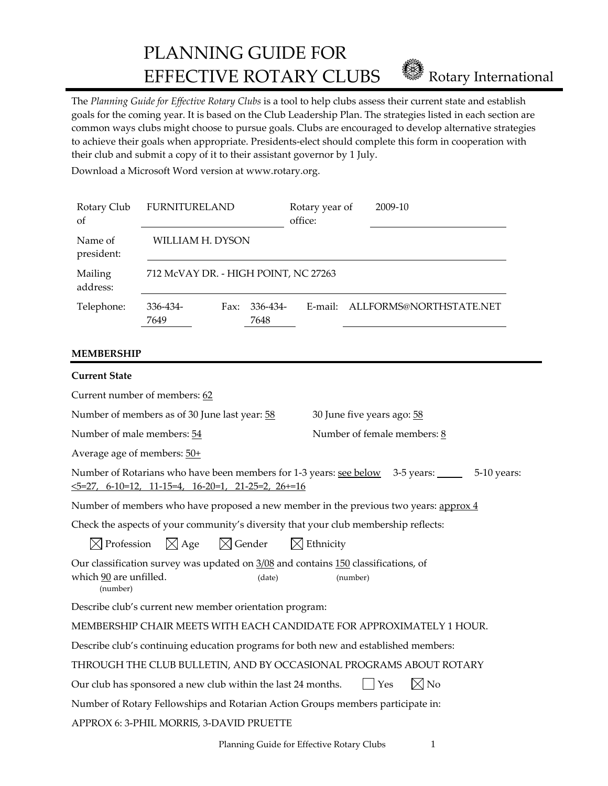PLANNING GUIDE FOR EFFECTIVE ROTARY CLUBS **EFFECTIVE ROTARY** CLUBS

The *Planning Guide for Effective Rotary Clubs* is a tool to help clubs assess their current state and establish goals for the coming year. It is based on the Club Leadership Plan. The strategies listed in each section are common ways clubs might choose to pursue goals. Clubs are encouraged to develop alternative strategies to achieve their goals when appropriate. Presidents‐elect should complete this form in cooperation with their club and submit a copy of it to their assistant governor by 1 July.

Download a Microsoft Word version at www.rotary.org.

| Rotary Club<br><sub>of</sub> | <b>FURNITURELAND</b>                 |      |                  | Rotary year of<br>office: | 2009-10                 |  |
|------------------------------|--------------------------------------|------|------------------|---------------------------|-------------------------|--|
| Name of<br>president:        | WILLIAM H. DYSON                     |      |                  |                           |                         |  |
| Mailing<br>address:          | 712 McVAY DR. - HIGH POINT, NC 27263 |      |                  |                           |                         |  |
| Telephone:                   | 336-434-<br>7649                     | Fax: | 336-434-<br>7648 | E-mail:                   | ALLFORMS@NORTHSTATE.NET |  |

# **MEMBERSHIP**

| <b>Current State</b>                                                                                                                            |                               |  |  |  |
|-------------------------------------------------------------------------------------------------------------------------------------------------|-------------------------------|--|--|--|
| Current number of members: 62                                                                                                                   |                               |  |  |  |
| Number of members as of 30 June last year: 58                                                                                                   | 30 June five years ago: 58    |  |  |  |
| Number of male members: 54                                                                                                                      | Number of female members: 8   |  |  |  |
| Average age of members: $50+$                                                                                                                   |                               |  |  |  |
| Number of Rotarians who have been members for 1-3 years: see below 3-5 years: 5-10 years:<br>$5=27, 6-10=12, 11-15=4, 16-20=1, 21-25=2, 26+=16$ |                               |  |  |  |
| Number of members who have proposed a new member in the previous two years: $\frac{approx 4}{ }$                                                |                               |  |  |  |
| Check the aspects of your community's diversity that your club membership reflects:                                                             |                               |  |  |  |
| $\boxtimes$ Profession $\boxtimes$ Age $\boxtimes$ Gender $\boxtimes$ Ethnicity                                                                 |                               |  |  |  |
| Our classification survey was updated on 3/08 and contains 150 classifications, of<br>which 90 are unfilled.<br>(date)<br>(number)<br>(number)  |                               |  |  |  |
| Describe club's current new member orientation program:                                                                                         |                               |  |  |  |
| MEMBERSHIP CHAIR MEETS WITH EACH CANDIDATE FOR APPROXIMATELY 1 HOUR.                                                                            |                               |  |  |  |
| Describe club's continuing education programs for both new and established members:                                                             |                               |  |  |  |
| THROUGH THE CLUB BULLETIN, AND BY OCCASIONAL PROGRAMS ABOUT ROTARY                                                                              |                               |  |  |  |
| Our club has sponsored a new club within the last 24 months.                                                                                    | $\boxtimes$ No<br>$\vert$ Yes |  |  |  |
| Number of Rotary Fellowships and Rotarian Action Groups members participate in:                                                                 |                               |  |  |  |
| APPROX 6: 3-PHIL MORRIS, 3-DAVID PRUETTE                                                                                                        |                               |  |  |  |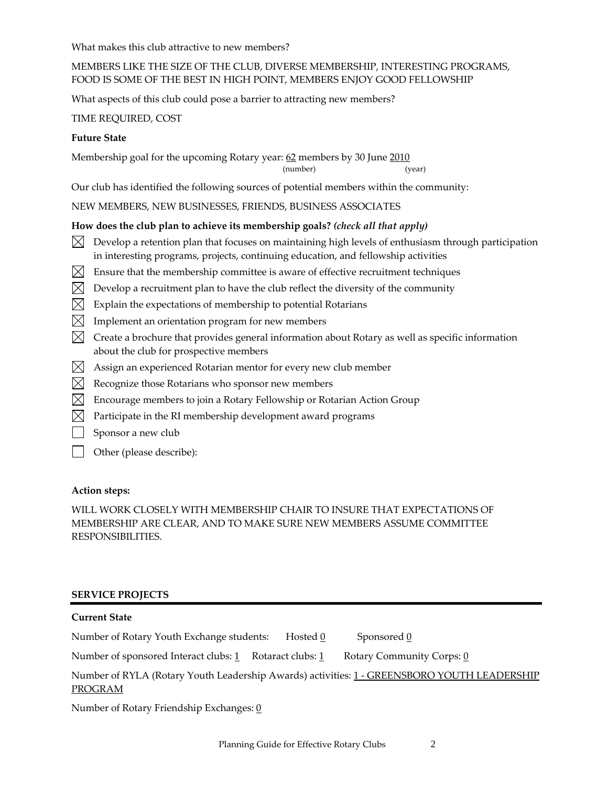What makes this club attractive to new members?

# MEMBERS LIKE THE SIZE OF THE CLUB, DIVERSE MEMBERSHIP, INTERESTING PROGRAMS, FOOD IS SOME OF THE BEST IN HIGH POINT, MEMBERS ENJOY GOOD FELLOWSHIP

What aspects of this club could pose a barrier to attracting new members?

TIME REQUIRED, COST

# **Future State**

Membership goal for the upcoming Rotary year: 62 members by 30 June 2010

(number) (year)

Our club has identified the following sources of potential members within the community:

NEW MEMBERS, NEW BUSINESSES, FRIENDS, BUSINESS ASSOCIATES

# **How does the club plan to achieve its membership goals?** *(check all that apply)*

- $\boxtimes$  Develop a retention plan that focuses on maintaining high levels of enthusiasm through participation in interesting programs, projects, continuing education, and fellowship activities
- $\boxtimes$  Ensure that the membership committee is aware of effective recruitment techniques
- $\boxtimes$  Develop a recruitment plan to have the club reflect the diversity of the community
- $\boxtimes$  Explain the expectations of membership to potential Rotarians
- $\boxtimes$  Implement an orientation program for new members
- $\boxtimes$  Create a brochure that provides general information about Rotary as well as specific information about the club for prospective members
- $\boxtimes$  Assign an experienced Rotarian mentor for every new club member
- $\boxtimes$  Recognize those Rotarians who sponsor new members
- $\boxtimes$  Encourage members to join a Rotary Fellowship or Rotarian Action Group
- $\boxtimes$  Participate in the RI membership development award programs
- Sponsor a new club
- Other (please describe):

# **Action steps:**

WILL WORK CLOSELY WITH MEMBERSHIP CHAIR TO INSURE THAT EXPECTATIONS OF MEMBERSHIP ARE CLEAR, AND TO MAKE SURE NEW MEMBERS ASSUME COMMITTEE RESPONSIBILITIES.

# **SERVICE PROJECTS**

# **Current State**

Number of Rotary Youth Exchange students: Hosted  $\frac{0}{0}$  Sponsored  $\frac{0}{0}$ 

Number of sponsored Interact clubs:  $1$  Rotaract clubs:  $1$  Rotary Community Corps: 0

Number of RYLA (Rotary Youth Leadership Awards) activities: 1 - GREENSBORO YOUTH LEADERSHIP PROGRAM

Number of Rotary Friendship Exchanges: 0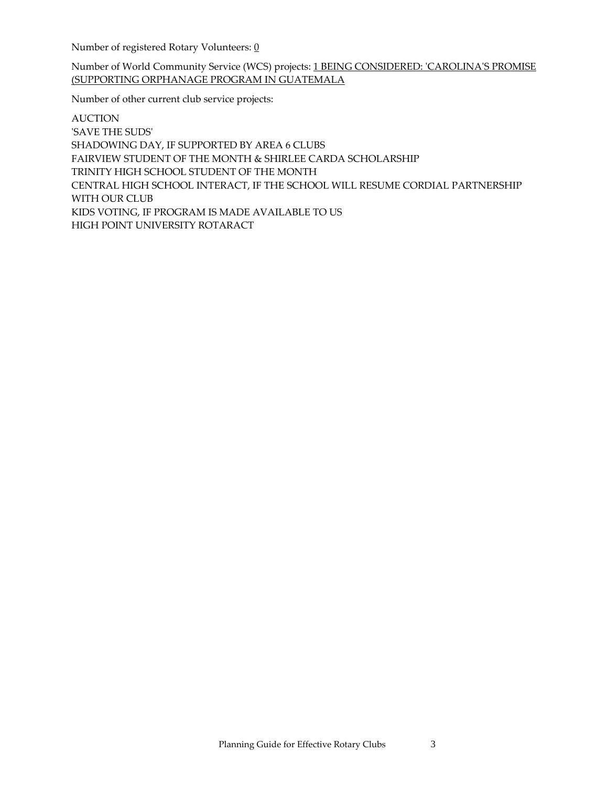Number of registered Rotary Volunteers: 0

Number of World Community Service (WCS) projects: 1 BEING CONSIDERED: ʹCAROLINAʹS PROMISE (SUPPORTING ORPHANAGE PROGRAM IN GUATEMALA

Number of other current club service projects:

AUCTION ʹSAVE THE SUDSʹ SHADOWING DAY, IF SUPPORTED BY AREA 6 CLUBS FAIRVIEW STUDENT OF THE MONTH & SHIRLEE CARDA SCHOLARSHIP TRINITY HIGH SCHOOL STUDENT OF THE MONTH CENTRAL HIGH SCHOOL INTERACT, IF THE SCHOOL WILL RESUME CORDIAL PARTNERSHIP WITH OUR CLUB KIDS VOTING, IF PROGRAM IS MADE AVAILABLE TO US HIGH POINT UNIVERSITY ROTARACT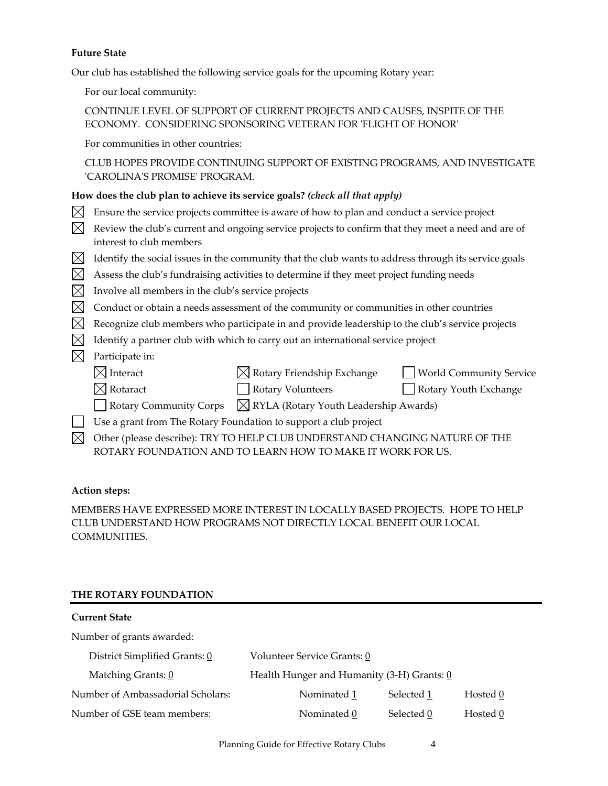#### **Future State**

Our club has established the following service goals for the upcoming Rotary year:

For our local community:

# CONTINUE LEVEL OF SUPPORT OF CURRENT PROJECTS AND CAUSES, INSPITE OF THE ECONOMY. CONSIDERING SPONSORING VETERAN FOR 'FLIGHT OF HONOR'

For communities in other countries:

CLUB HOPES PROVIDE CONTINUING SUPPORT OF EXISTING PROGRAMS, AND INVESTIGATE ʹCAROLINAʹS PROMISEʹ PROGRAM.

### **How does the club plan to achieve its service goals?** *(check all that apply)*

- $\boxtimes$  Ensure the service projects committee is aware of how to plan and conduct a service project
- $\boxtimes$  Review the club's current and ongoing service projects to confirm that they meet a need and are of interest to club members
- $\boxtimes$  Identify the social issues in the community that the club wants to address through its service goals
- $\boxtimes$  Assess the club's fundraising activities to determine if they meet project funding needs
- $\boxtimes$  Involve all members in the club's service projects
- $\boxtimes$  Conduct or obtain a needs assessment of the community or communities in other countries
- $\boxtimes$  Recognize club members who participate in and provide leadership to the club's service projects
- $\boxtimes$  Identify a partner club with which to carry out an international service project
- $\boxtimes$  Participate in:
	- $\boxtimes$  Interact  $\boxtimes$  Rotary Friendship Exchange  $\Box$  World Community Service
	- $\boxtimes$  Rotaract  $\Box$  Rotary Volunteers  $\Box$  Rotary Youth Exchange
	- $\Box$  Rotary Community Corps  $\Box$  RYLA (Rotary Youth Leadership Awards)
- Use a grant from The Rotary Foundation to support a club project
- $\boxtimes$  Other (please describe): TRY TO HELP CLUB UNDERSTAND CHANGING NATURE OF THE ROTARY FOUNDATION AND TO LEARN HOW TO MAKE IT WORK FOR US.

#### **Action steps:**

MEMBERS HAVE EXPRESSED MORE INTEREST IN LOCALLY BASED PROJECTS. HOPE TO HELP CLUB UNDERSTAND HOW PROGRAMS NOT DIRECTLY LOCAL BENEFIT OUR LOCAL COMMUNITIES.

# **THE ROTARY FOUNDATION**

# **Current State** Number of grants awarded: District Simplified Grants:  $\underline{0}$  Volunteer Service Grants:  $\underline{0}$ Matching Grants: 0 Health Hunger and Humanity (3-H) Grants: 0 Number of Ambassadorial Scholars: Nominated 1 Selected 1 Hosted 0 Number of GSE team members:  $\blacksquare$  Nominated  $\underline{0}$  Selected  $\underline{0}$  Hosted  $\underline{0}$

Planning Guide for Effective Rotary Clubs 4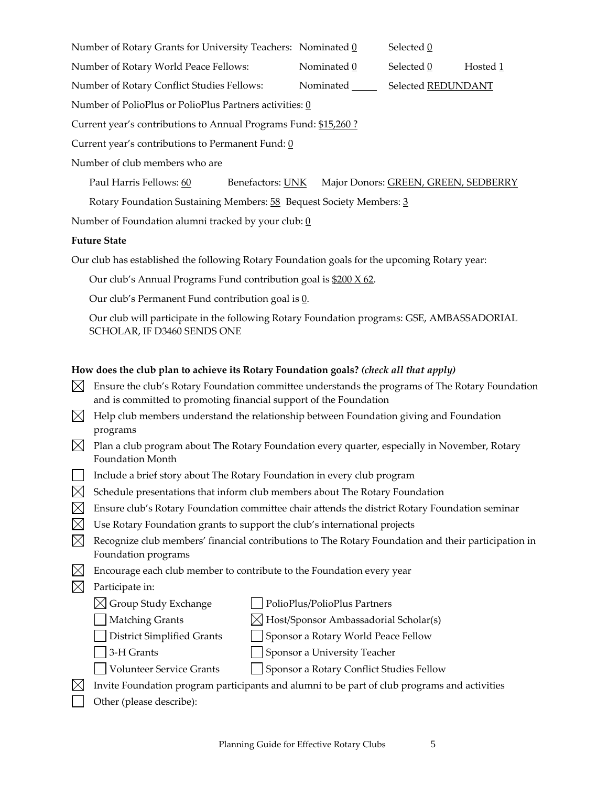Number of Rotary Grants for University Teachers: Nominated  $0$  Selected  $0$ 

Number of Rotary World Peace Fellows:  $\blacksquare$  Nominated  $\underline{0}$  Selected  $\underline{0}$  Hosted  $\underline{1}$ 

Number of Rotary Conflict Studies Fellows: Nominated Selected REDUNDANT

Number of PolioPlus or PolioPlus Partners activities: 0

Current year's contributions to Annual Programs Fund: \$15,260 ?

Current year's contributions to Permanent Fund:  $\underline{0}$ 

Number of club members who are

Paul Harris Fellows: 60 Benefactors: UNK Major Donors: GREEN, GREEN, SEDBERRY

Rotary Foundation Sustaining Members: 58 Bequest Society Members: 3

Number of Foundation alumni tracked by your club:  $\underline{0}$ 

# **Future State**

Our club has established the following Rotary Foundation goals for the upcoming Rotary year:

Our club's Annual Programs Fund contribution goal is \$200 X 62.

Our club's Permanent Fund contribution goal is  $\underline{0}$ .

Our club will participate in the following Rotary Foundation programs: GSE, AMBASSADORIAL SCHOLAR, IF D3460 SENDS ONE

# **How does the club plan to achieve its Rotary Foundation goals?** *(check all that apply)*

| $\boxtimes$ Ensure the club's Rotary Foundation committee understands the programs of The Rotary Foundation |
|-------------------------------------------------------------------------------------------------------------|
| and is committed to promoting financial support of the Foundation                                           |

- $\boxtimes$  Help club members understand the relationship between Foundation giving and Foundation programs
- $\boxtimes$  Plan a club program about The Rotary Foundation every quarter, especially in November, Rotary Foundation Month
- $\Box$  Include a brief story about The Rotary Foundation in every club program
- $\boxtimes$  Schedule presentations that inform club members about The Rotary Foundation
- $\boxtimes$  Ensure club's Rotary Foundation committee chair attends the district Rotary Foundation seminar
- $\boxtimes$  Use Rotary Foundation grants to support the club's international projects
- $\boxtimes$  Recognize club members' financial contributions to The Rotary Foundation and their participation in Foundation programs
- $\boxtimes$  Encourage each club member to contribute to the Foundation every year
- $\boxtimes$  Participate in:
	- $\boxtimes$  Group Study Exchange  $\Box$  PolioPlus/PolioPlus Partners

 $\Box$  Matching Grants  $\boxtimes$  Host/Sponsor Ambassadorial Scholar(s)

District Simplified Grants Sponsor a Rotary World Peace Fellow

- 3-H Grants Sponsor a University Teacher
- Volunteer Service Grants Sponsor a Rotary Conflict Studies Fellow
- $\boxtimes$  Invite Foundation program participants and alumni to be part of club programs and activities
- Other (please describe):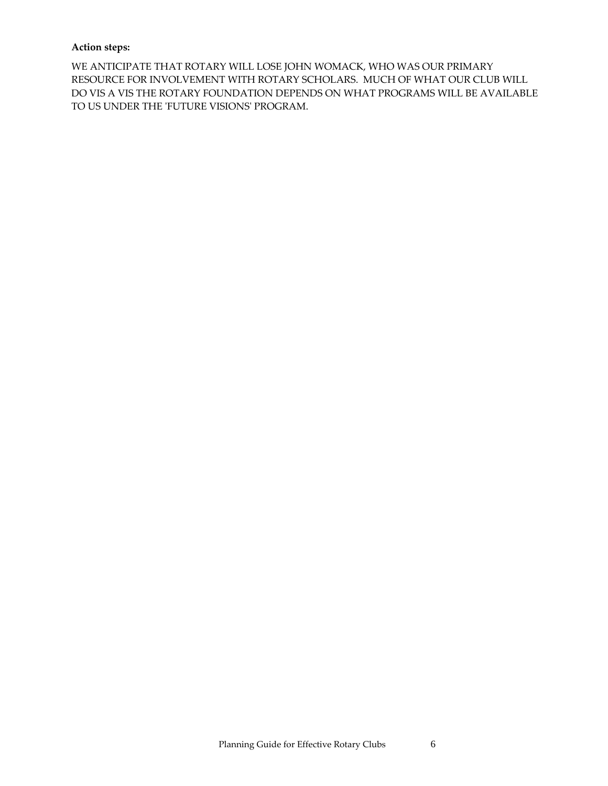# **Action steps:**

WE ANTICIPATE THAT ROTARY WILL LOSE JOHN WOMACK, WHO WAS OUR PRIMARY RESOURCE FOR INVOLVEMENT WITH ROTARY SCHOLARS. MUCH OF WHAT OUR CLUB WILL DO VIS A VIS THE ROTARY FOUNDATION DEPENDS ON WHAT PROGRAMS WILL BE AVAILABLE TO US UNDER THE 'FUTURE VISIONS' PROGRAM.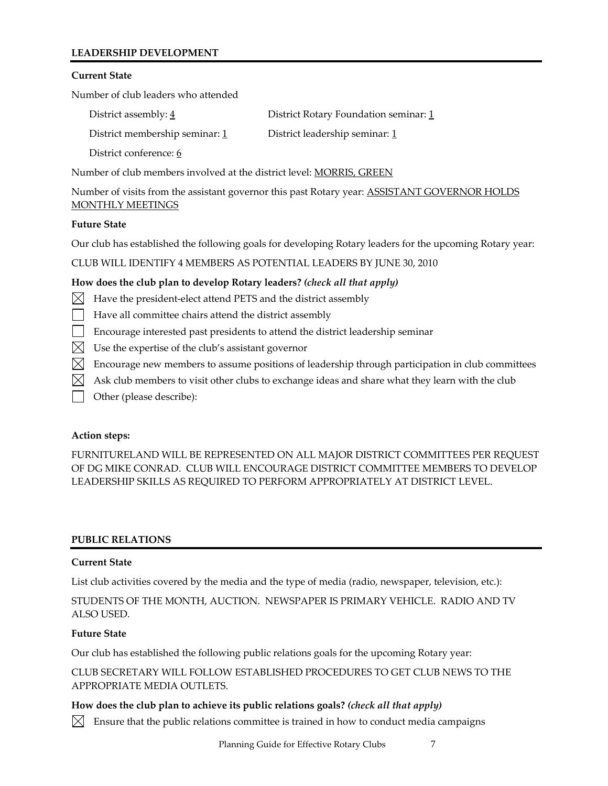# **LEADERSHIP DEVELOPMENT**

### **Current State**

Number of club leaders who attended

| District assembly: $\frac{4}{3}$ | District Rotary Foundation seminar: 1 |
|----------------------------------|---------------------------------------|
| District membership seminar: 1   | District leadership seminar: 1        |
| District conference: 6           |                                       |

Number of club members involved at the district level: MORRIS, GREEN

Number of visits from the assistant governor this past Rotary year: ASSISTANT GOVERNOR HOLDS MONTHLY MEETINGS

#### **Future State**

Our club has established the following goals for developing Rotary leaders for the upcoming Rotary year:

CLUB WILL IDENTIFY 4 MEMBERS AS POTENTIAL LEADERS BY JUNE 30, 2010

# **How does the club plan to develop Rotary leaders?** *(check all that apply)*

- $\boxtimes$  Have the president-elect attend PETS and the district assembly
- Have all committee chairs attend the district assembly
- Encourage interested past presidents to attend the district leadership seminar
- $\boxtimes$  Use the expertise of the club's assistant governor
- $\boxtimes$  Encourage new members to assume positions of leadership through participation in club committees
- $\boxtimes$  Ask club members to visit other clubs to exchange ideas and share what they learn with the club
- Other (please describe):

#### **Action steps:**

FURNITURELAND WILL BE REPRESENTED ON ALL MAJOR DISTRICT COMMITTEES PER REQUEST OF DG MIKE CONRAD. CLUB WILL ENCOURAGE DISTRICT COMMITTEE MEMBERS TO DEVELOP LEADERSHIP SKILLS AS REQUIRED TO PERFORM APPROPRIATELY AT DISTRICT LEVEL.

#### **PUBLIC RELATIONS**

#### **Current State**

List club activities covered by the media and the type of media (radio, newspaper, television, etc.):

STUDENTS OF THE MONTH, AUCTION. NEWSPAPER IS PRIMARY VEHICLE. RADIO AND TV ALSO USED.

#### **Future State**

Our club has established the following public relations goals for the upcoming Rotary year:

CLUB SECRETARY WILL FOLLOW ESTABLISHED PROCEDURES TO GET CLUB NEWS TO THE APPROPRIATE MEDIA OUTLETS.

#### **How does the club plan to achieve its public relations goals?** *(check all that apply)*

 $\boxtimes$  Ensure that the public relations committee is trained in how to conduct media campaigns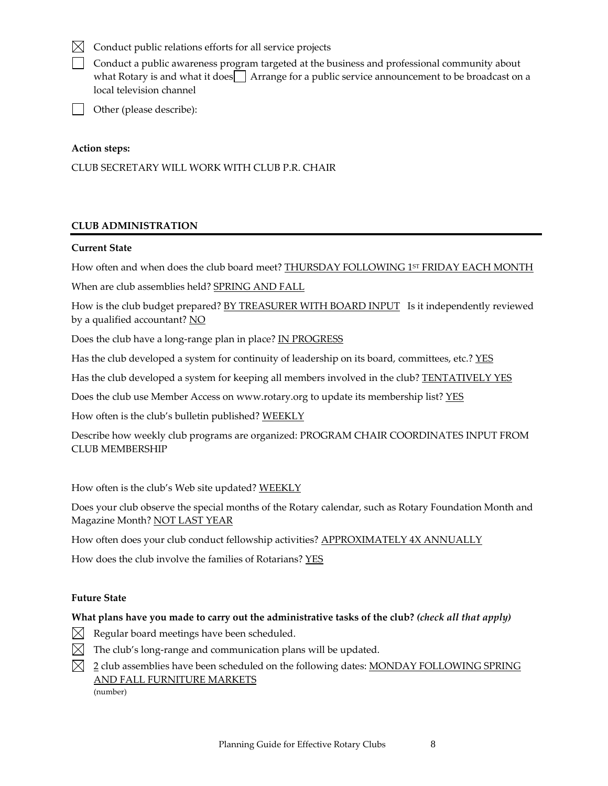# $\boxtimes$  Conduct public relations efforts for all service projects

Conduct a public awareness program targeted at the business and professional community about what Rotary is and what it does  $\Box$  Arrange for a public service announcement to be broadcast on a local television channel

Other (please describe):

# **Action steps:**

CLUB SECRETARY WILL WORK WITH CLUB P.R. CHAIR

# **CLUB ADMINISTRATION**

# **Current State**

How often and when does the club board meet? **THURSDAY FOLLOWING 1<sup>ST</sup> FRIDAY EACH MONTH** 

When are club assemblies held? SPRING AND FALL

How is the club budget prepared? BY TREASURER WITH BOARD INPUT Is it independently reviewed by a qualified accountant? NO

Does the club have a long-range plan in place? IN PROGRESS

Has the club developed a system for continuity of leadership on its board, committees, etc.? YES

Has the club developed a system for keeping all members involved in the club? **TENTATIVELY YES** 

Does the club use Member Access on www.rotary.org to update its membership list? YES

How often is the club's bulletin published? WEEKLY

Describe how weekly club programs are organized: PROGRAM CHAIR COORDINATES INPUT FROM CLUB MEMBERSHIP

How often is the club's Web site updated? WEEKLY

Does your club observe the special months of the Rotary calendar, such as Rotary Foundation Month and Magazine Month? NOT LAST YEAR

How often does your club conduct fellowship activities? APPROXIMATELY 4X ANNUALLY

How does the club involve the families of Rotarians? YES

# **Future State**

# **What plans have you made to carry out the administrative tasks of the club?** *(check all that apply)*

- $\boxtimes$  Regular board meetings have been scheduled.
- $\boxtimes$  The club's long-range and communication plans will be updated.
- $\boxtimes$  2 club assemblies have been scheduled on the following dates: MONDAY FOLLOWING SPRING AND FALL FURNITURE MARKETS (number)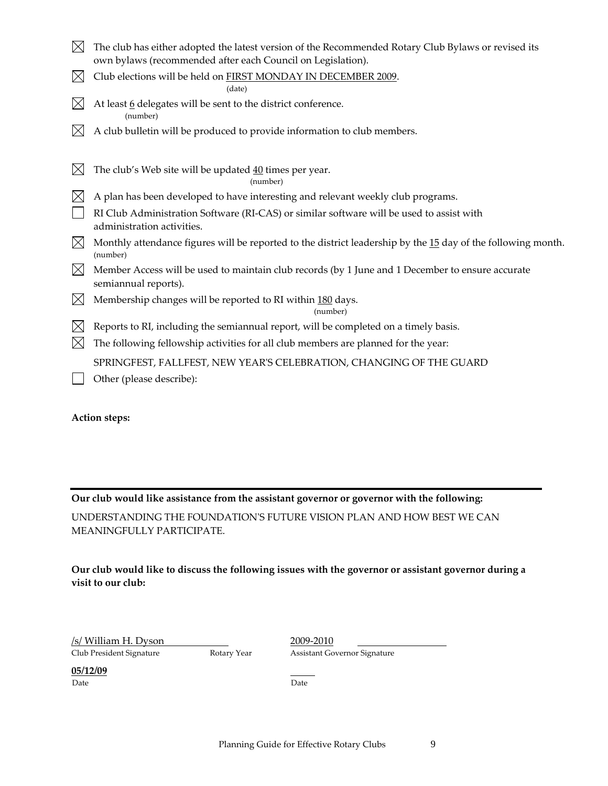| $\boxtimes$ | The club has either adopted the latest version of the Recommended Rotary Club Bylaws or revised its<br>own bylaws (recommended after each Council on Legislation). |
|-------------|--------------------------------------------------------------------------------------------------------------------------------------------------------------------|
| $\boxtimes$ | Club elections will be held on FIRST MONDAY IN DECEMBER 2009.<br>(date)                                                                                            |
| $\boxtimes$ | At least 6 delegates will be sent to the district conference.<br>(number)                                                                                          |
| $\boxtimes$ | A club bulletin will be produced to provide information to club members.                                                                                           |
| $\times$    | The club's Web site will be updated 40 times per year.<br>(number)                                                                                                 |
| $\boxtimes$ | A plan has been developed to have interesting and relevant weekly club programs.                                                                                   |
|             | RI Club Administration Software (RI-CAS) or similar software will be used to assist with<br>administration activities.                                             |
| $\boxtimes$ | Monthly attendance figures will be reported to the district leadership by the 15 day of the following month.<br>(number)                                           |
| $\boxtimes$ | Member Access will be used to maintain club records (by 1 June and 1 December to ensure accurate<br>semiannual reports).                                           |
| $\boxtimes$ | Membership changes will be reported to RI within 180 days.<br>(number)                                                                                             |
| $\boxtimes$ | Reports to RI, including the semiannual report, will be completed on a timely basis.                                                                               |
| $\boxtimes$ | The following fellowship activities for all club members are planned for the year:                                                                                 |
|             | SPRINGFEST, FALLFEST, NEW YEAR'S CELEBRATION, CHANGING OF THE GUARD                                                                                                |
|             | Other (please describe):                                                                                                                                           |

**Action steps:**

# **Our club would like assistance from the assistant governor or governor with the following:**

UNDERSTANDING THE FOUNDATIONʹS FUTURE VISION PLAN AND HOW BEST WE CAN MEANINGFULLY PARTICIPATE.

**Our club would like to discuss the following issues with the governor or assistant governor during a visit to our club:**

| /s/ William H. Dyson     |  |
|--------------------------|--|
| Club President Signature |  |

2009-2010 Rotary Year **Assistant Governor Signature** 

**<u>05/12/09</u>** Date Date Date **Date**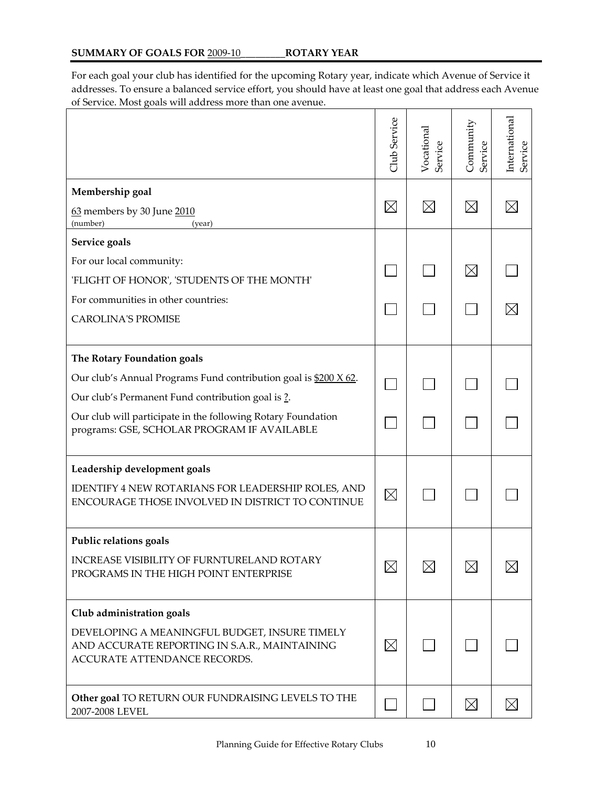For each goal your club has identified for the upcoming Rotary year, indicate which Avenue of Service it addresses. To ensure a balanced service effort, you should have at least one goal that address each Avenue of Service. Most goals will address more than one avenue.

|                                                                                                                                | <b>Jub</b> Service | Vocational<br>Service | Community<br>Service | International<br>Service |
|--------------------------------------------------------------------------------------------------------------------------------|--------------------|-----------------------|----------------------|--------------------------|
| Membership goal                                                                                                                |                    |                       |                      |                          |
| 63 members by 30 June 2010<br>(number)<br>(year)                                                                               | $\boxtimes$        | $\boxtimes$           | $\boxtimes$          |                          |
| Service goals                                                                                                                  |                    |                       |                      |                          |
| For our local community:                                                                                                       |                    |                       | $\boxtimes$          |                          |
| 'FLIGHT OF HONOR', 'STUDENTS OF THE MONTH'                                                                                     |                    |                       |                      |                          |
| For communities in other countries:                                                                                            |                    |                       |                      |                          |
| <b>CAROLINA'S PROMISE</b>                                                                                                      |                    |                       |                      |                          |
| The Rotary Foundation goals                                                                                                    |                    |                       |                      |                          |
| Our club's Annual Programs Fund contribution goal is \$200 X 62.                                                               |                    |                       |                      |                          |
| Our club's Permanent Fund contribution goal is ?.                                                                              |                    |                       |                      |                          |
| Our club will participate in the following Rotary Foundation<br>programs: GSE, SCHOLAR PROGRAM IF AVAILABLE                    |                    |                       |                      |                          |
| Leadership development goals                                                                                                   |                    |                       |                      |                          |
| IDENTIFY 4 NEW ROTARIANS FOR LEADERSHIP ROLES, AND<br>ENCOURAGE THOSE INVOLVED IN DISTRICT TO CONTINUE                         | $\times$           |                       |                      |                          |
| Public relations goals                                                                                                         |                    |                       |                      |                          |
| INCREASE VISIBILITY OF FURNTURELAND ROTARY<br>PROGRAMS IN THE HIGH POINT ENTERPRISE                                            | $\times$           | $\boxtimes$           | $\boxtimes$          |                          |
| Club administration goals                                                                                                      |                    |                       |                      |                          |
| DEVELOPING A MEANINGFUL BUDGET, INSURE TIMELY<br>AND ACCURATE REPORTING IN S.A.R., MAINTAINING<br>ACCURATE ATTENDANCE RECORDS. | $\boxtimes$        |                       |                      |                          |
| Other goal TO RETURN OUR FUNDRAISING LEVELS TO THE<br>2007-2008 LEVEL                                                          |                    |                       | $\boxtimes$          | $\boxtimes$              |